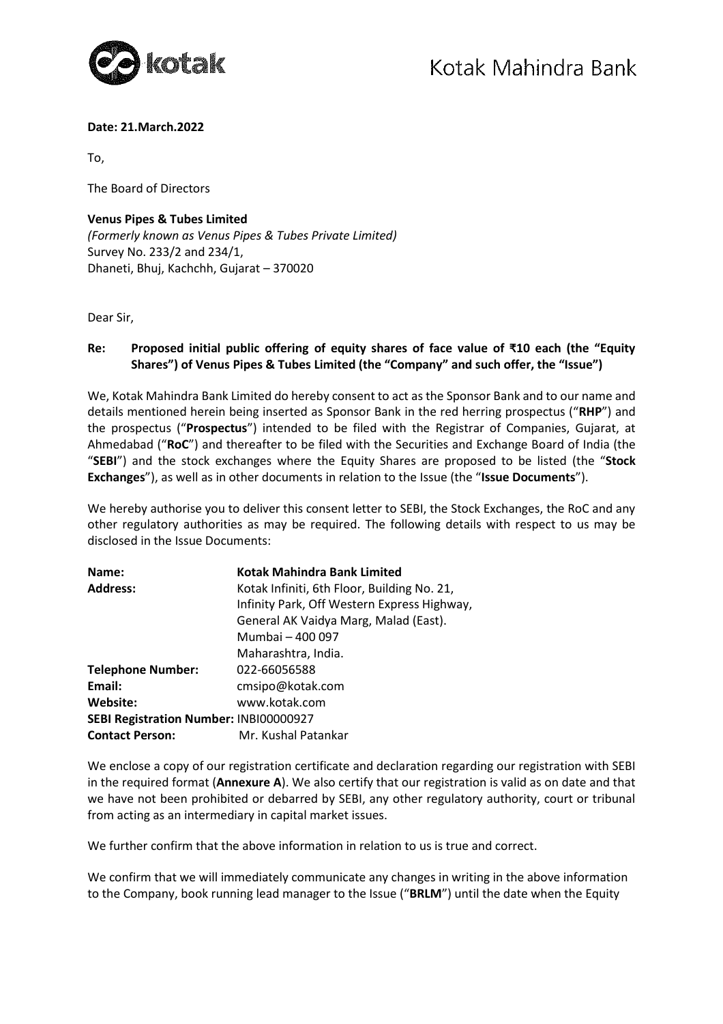

### **Date: 21.March.2022**

To,

The Board of Directors

## **Venus Pipes & Tubes Limited**  *(Formerly known as Venus Pipes & Tubes Private Limited)*  Survey No. 233/2 and 234/1, Dhaneti, Bhuj, Kachchh, Gujarat – 370020

Dear Sir,

## **Re: Proposed initial public offering of equity shares of face value of ₹10 each (the "Equity Shares") of Venus Pipes & Tubes Limited (the "Company" and such offer, the "Issue")**

We, Kotak Mahindra Bank Limited do hereby consent to act as the Sponsor Bank and to our name and details mentioned herein being inserted as Sponsor Bank in the red herring prospectus ("**RHP**") and the prospectus ("**Prospectus**") intended to be filed with the Registrar of Companies, Gujarat, at Ahmedabad ("**RoC**") and thereafter to be filed with the Securities and Exchange Board of India (the "**SEBI**") and the stock exchanges where the Equity Shares are proposed to be listed (the "**Stock Exchanges**"), as well as in other documents in relation to the Issue (the "**Issue Documents**").

We hereby authorise you to deliver this consent letter to SEBI, the Stock Exchanges, the RoC and any other regulatory authorities as may be required. The following details with respect to us may be disclosed in the Issue Documents:

| Name:                                         | Kotak Mahindra Bank Limited                 |
|-----------------------------------------------|---------------------------------------------|
| <b>Address:</b>                               | Kotak Infiniti, 6th Floor, Building No. 21, |
|                                               | Infinity Park, Off Western Express Highway, |
|                                               | General AK Vaidya Marg, Malad (East).       |
|                                               | Mumbai - 400 097                            |
|                                               | Maharashtra, India.                         |
| <b>Telephone Number:</b>                      | 022-66056588                                |
| Email:                                        | cmsipo@kotak.com                            |
| Website:                                      | www.kotak.com                               |
| <b>SEBI Registration Number: INBI00000927</b> |                                             |
| <b>Contact Person:</b>                        | Mr. Kushal Patankar                         |

We enclose a copy of our registration certificate and declaration regarding our registration with SEBI in the required format (**Annexure A**). We also certify that our registration is valid as on date and that we have not been prohibited or debarred by SEBI, any other regulatory authority, court or tribunal from acting as an intermediary in capital market issues.

We further confirm that the above information in relation to us is true and correct.

We confirm that we will immediately communicate any changes in writing in the above information to the Company, book running lead manager to the Issue ("**BRLM**") until the date when the Equity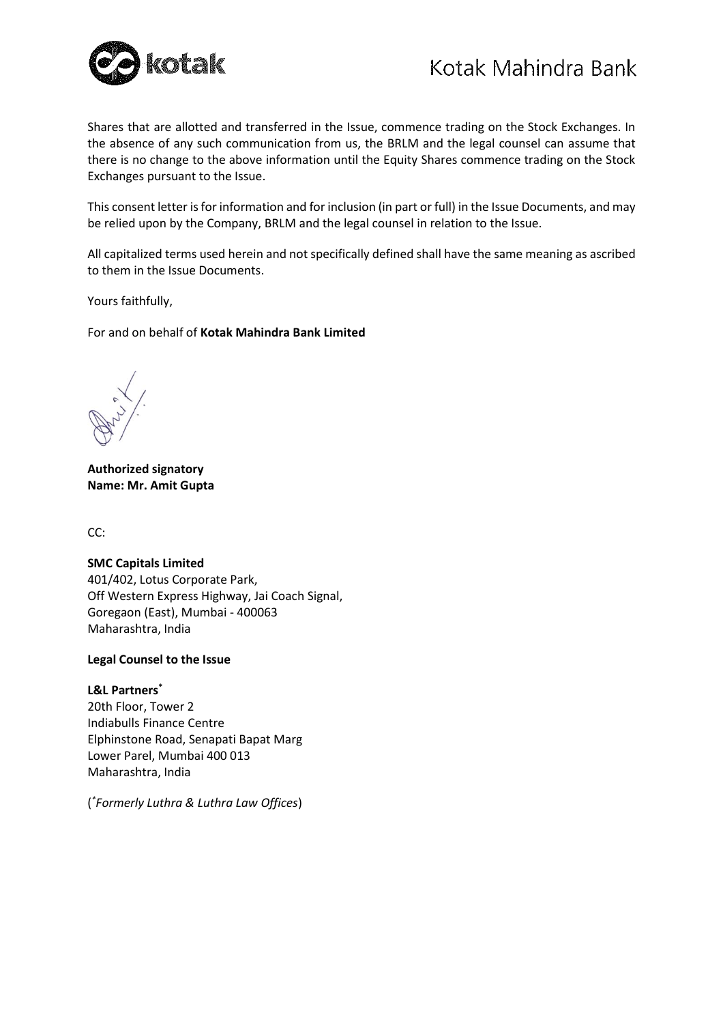

Shares that are allotted and transferred in the Issue, commence trading on the Stock Exchanges. In the absence of any such communication from us, the BRLM and the legal counsel can assume that there is no change to the above information until the Equity Shares commence trading on the Stock Exchanges pursuant to the Issue.

This consent letter is for information and for inclusion (in part or full) in the Issue Documents, and may be relied upon by the Company, BRLM and the legal counsel in relation to the Issue.

All capitalized terms used herein and not specifically defined shall have the same meaning as ascribed to them in the Issue Documents.

Yours faithfully,

For and on behalf of **Kotak Mahindra Bank Limited**

**Authorized signatory Name: Mr. Amit Gupta**

CC:

#### **SMC Capitals Limited**

401/402, Lotus Corporate Park, Off Western Express Highway, Jai Coach Signal, Goregaon (East), Mumbai - 400063 Maharashtra, India

#### **Legal Counsel to the Issue**

#### **L&L Partners\***

20th Floor, Tower 2 Indiabulls Finance Centre Elphinstone Road, Senapati Bapat Marg Lower Parel, Mumbai 400 013 Maharashtra, India

( *\* Formerly Luthra & Luthra Law Offices*)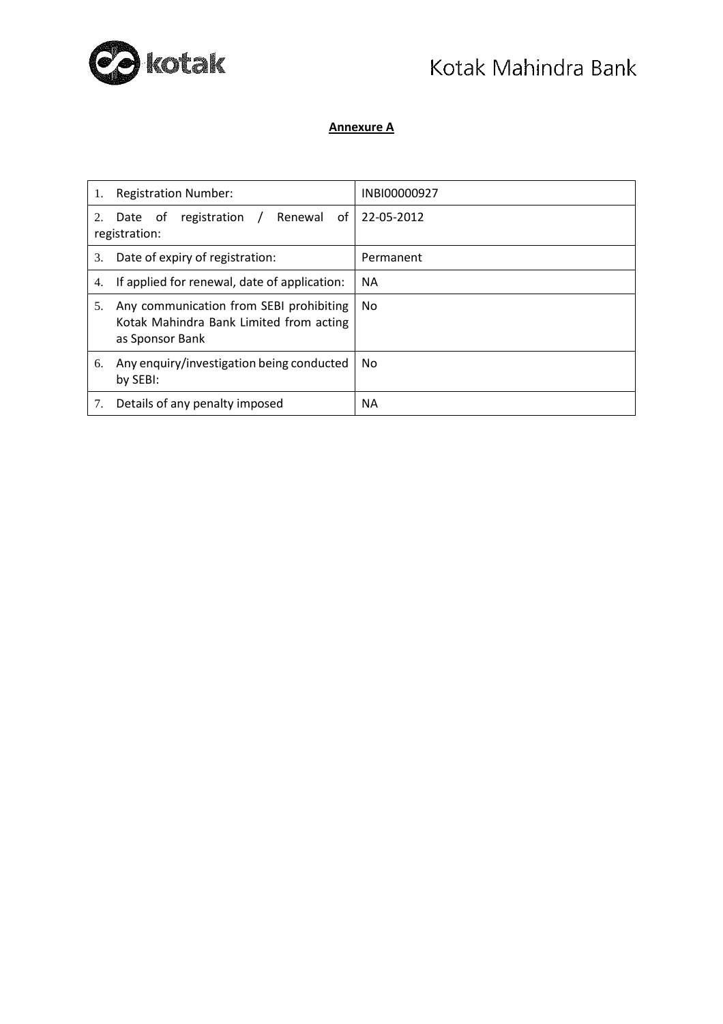

# Kotak Mahindra Bank

## **Annexure A**

| 1. | <b>Registration Number:</b>                                                                           | INBI00000927 |
|----|-------------------------------------------------------------------------------------------------------|--------------|
| 2. | Renewal<br>registration<br>of<br>Date<br>0t<br>registration:                                          | 22-05-2012   |
| 3. | Date of expiry of registration:                                                                       | Permanent    |
| 4. | If applied for renewal, date of application:                                                          | <b>NA</b>    |
| 5. | Any communication from SEBI prohibiting<br>Kotak Mahindra Bank Limited from acting<br>as Sponsor Bank | No           |
| 6. | Any enquiry/investigation being conducted<br>by SEBI:                                                 | No           |
| 7. | Details of any penalty imposed                                                                        | ΝA           |